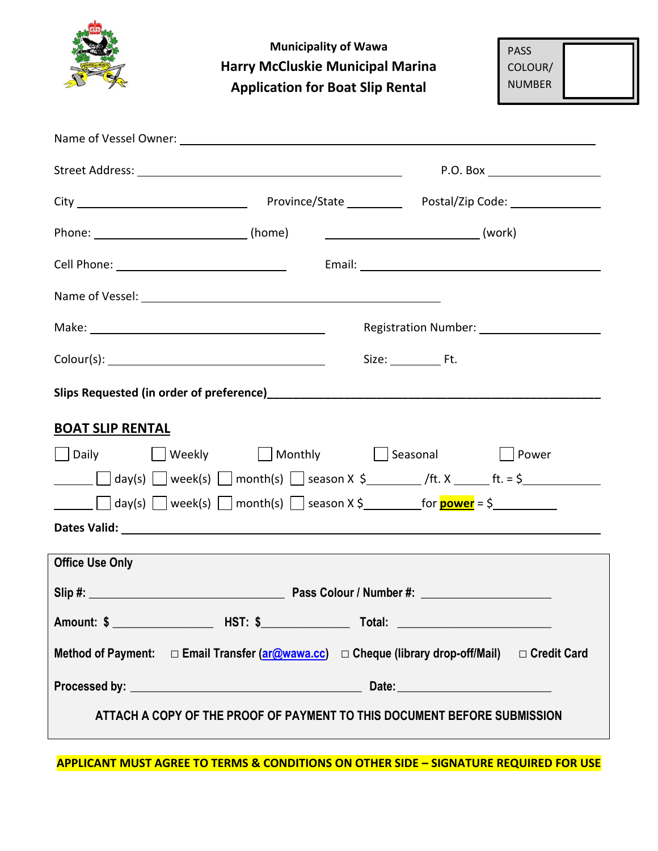|                                                                                                                                                                                                                               | <b>Municipality of Wawa</b><br><b>Harry McCluskie Municipal Marina</b><br><b>Application for Boat Slip Rental</b> |           |          | <b>PASS</b><br>COLOUR/<br><b>NUMBER</b>        |
|-------------------------------------------------------------------------------------------------------------------------------------------------------------------------------------------------------------------------------|-------------------------------------------------------------------------------------------------------------------|-----------|----------|------------------------------------------------|
|                                                                                                                                                                                                                               |                                                                                                                   |           |          |                                                |
|                                                                                                                                                                                                                               |                                                                                                                   |           |          | P.O. Box _____________________                 |
|                                                                                                                                                                                                                               |                                                                                                                   |           |          |                                                |
|                                                                                                                                                                                                                               |                                                                                                                   |           |          |                                                |
|                                                                                                                                                                                                                               |                                                                                                                   |           |          |                                                |
| Name of Vessel: Name of Vessel:                                                                                                                                                                                               |                                                                                                                   |           |          |                                                |
| Make: National Contract of the Marian Contract of the Marian Contract of the Marian Contract of the Marian Contract of the Marian Contract of the Marian Contract of the Marian Contract of the Marian Contract of the Marian |                                                                                                                   |           |          | Registration Number: _________________________ |
|                                                                                                                                                                                                                               |                                                                                                                   | Size: Ft. |          |                                                |
|                                                                                                                                                                                                                               |                                                                                                                   |           |          |                                                |
| <b>BOAT SLIP RENTAL</b>                                                                                                                                                                                                       |                                                                                                                   |           |          |                                                |
| <b>Daily</b>                                                                                                                                                                                                                  | ■ Weekly ■ Monthly ■ Monthly                                                                                      |           | Seasonal | Power                                          |
|                                                                                                                                                                                                                               |                                                                                                                   |           |          |                                                |
|                                                                                                                                                                                                                               |                                                                                                                   |           |          |                                                |
| <b>Office Use Only</b>                                                                                                                                                                                                        |                                                                                                                   |           |          |                                                |
|                                                                                                                                                                                                                               |                                                                                                                   |           |          |                                                |
|                                                                                                                                                                                                                               |                                                                                                                   |           |          |                                                |
| Method of Payment:  □ Email Transfer (ar@wawa.cc) □ Cheque (library drop-off/Mail) □ Credit Card                                                                                                                              |                                                                                                                   |           |          |                                                |
|                                                                                                                                                                                                                               |                                                                                                                   |           |          |                                                |
| ATTACH A COPY OF THE PROOF OF PAYMENT TO THIS DOCUMENT BEFORE SUBMISSION                                                                                                                                                      |                                                                                                                   |           |          |                                                |

**APPLICANT MUST AGREE TO TERMS & CONDITIONS ON OTHER SIDE – SIGNATURE REQUIRED FOR USE**